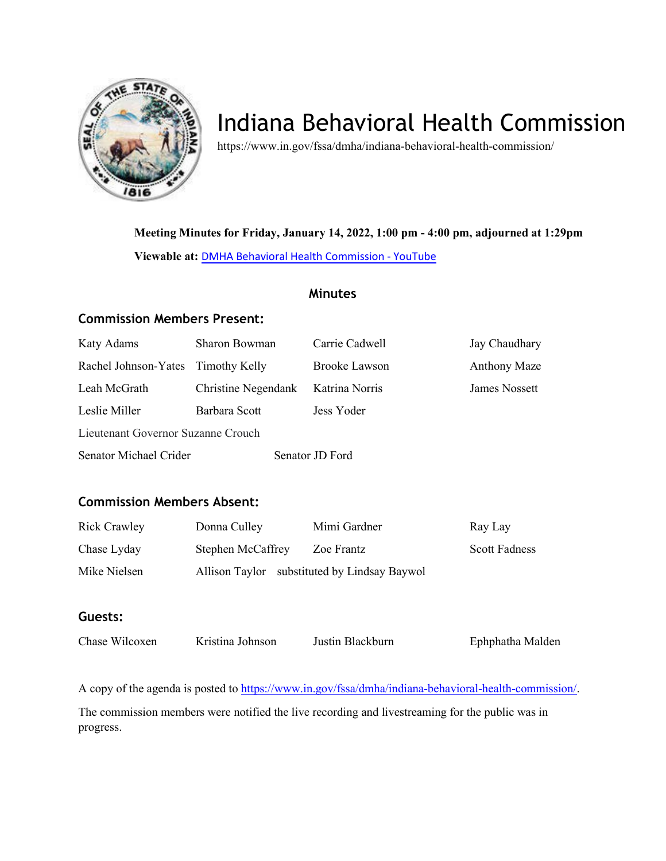

# Indiana Behavioral Health Commission

https://www.in.gov/fssa/dmha/indiana-behavioral-health-commission/

**Meeting Minutes for Friday, January 14, 2022, 1:00 pm - 4:00 pm, adjourned at 1:29pm** 

**Viewable at:** [DMHA Behavioral Health Commission](https://www.youtube.com/watch?v=FusvEP9ipj4) - YouTube

## **Minutes**

## **Commission Members Present:**

| Katy Adams                         | Sharon Bowman       | Carrie Cadwell       | Jay Chaudhary       |
|------------------------------------|---------------------|----------------------|---------------------|
| Rachel Johnson-Yates Timothy Kelly |                     | <b>Brooke Lawson</b> | <b>Anthony Maze</b> |
| Leah McGrath                       | Christine Negendank | Katrina Norris       | James Nossett       |
| Leslie Miller                      | Barbara Scott       | Jess Yoder           |                     |
| Lieutenant Governor Suzanne Crouch |                     |                      |                     |
| Senator Michael Crider             |                     | Senator JD Ford      |                     |

## **Commission Members Absent:**

| <b>Rick Crawley</b> | Donna Culley             | Mimi Gardner                                 | Ray Lay              |
|---------------------|--------------------------|----------------------------------------------|----------------------|
| Chase Lyday         | <b>Stephen McCaffrey</b> | Zoe Frantz                                   | <b>Scott Fadness</b> |
| Mike Nielsen        |                          | Allison Taylor substituted by Lindsay Baywol |                      |

## **Guests:**

| Chase Wilcoxen | Kristina Johnson | Justin Blackburn | Ephphatha Malden |
|----------------|------------------|------------------|------------------|
|                |                  |                  |                  |

A copy of the agenda is posted to [https://www.in.gov/fssa/dmha/indiana-behavioral-health-commission/.](https://www.in.gov/fssa/dmha/indiana-behavioral-health-commission/)

The commission members were notified the live recording and livestreaming for the public was in progress.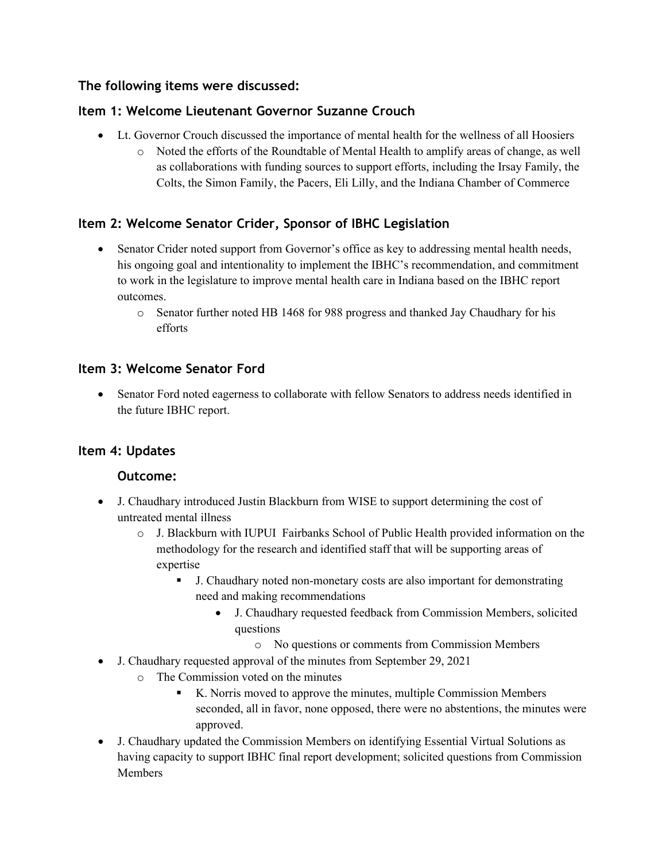# **The following items were discussed:**

# **Item 1: Welcome Lieutenant Governor Suzanne Crouch**

- Lt. Governor Crouch discussed the importance of mental health for the wellness of all Hoosiers
	- o Noted the efforts of the Roundtable of Mental Health to amplify areas of change, as well as collaborations with funding sources to support efforts, including the Irsay Family, the Colts, the Simon Family, the Pacers, Eli Lilly, and the Indiana Chamber of Commerce

# **Item 2: Welcome Senator Crider, Sponsor of IBHC Legislation**

- Senator Crider noted support from Governor's office as key to addressing mental health needs, his ongoing goal and intentionality to implement the IBHC's recommendation, and commitment to work in the legislature to improve mental health care in Indiana based on the IBHC report outcomes.
	- o Senator further noted HB 1468 for 988 progress and thanked Jay Chaudhary for his efforts

# **Item 3: Welcome Senator Ford**

• Senator Ford noted eagerness to collaborate with fellow Senators to address needs identified in the future IBHC report.

# **Item 4: Updates**

## **Outcome:**

- J. Chaudhary introduced Justin Blackburn from WISE to support determining the cost of untreated mental illness
	- o J. Blackburn with IUPUI Fairbanks School of Public Health provided information on the methodology for the research and identified staff that will be supporting areas of expertise
		- J. Chaudhary noted non-monetary costs are also important for demonstrating need and making recommendations
			- J. Chaudhary requested feedback from Commission Members, solicited questions
				- o No questions or comments from Commission Members
- J. Chaudhary requested approval of the minutes from September 29, 2021
	- o The Commission voted on the minutes
		- K. Norris moved to approve the minutes, multiple Commission Members seconded, all in favor, none opposed, there were no abstentions, the minutes were approved.
- J. Chaudhary updated the Commission Members on identifying Essential Virtual Solutions as having capacity to support IBHC final report development; solicited questions from Commission Members